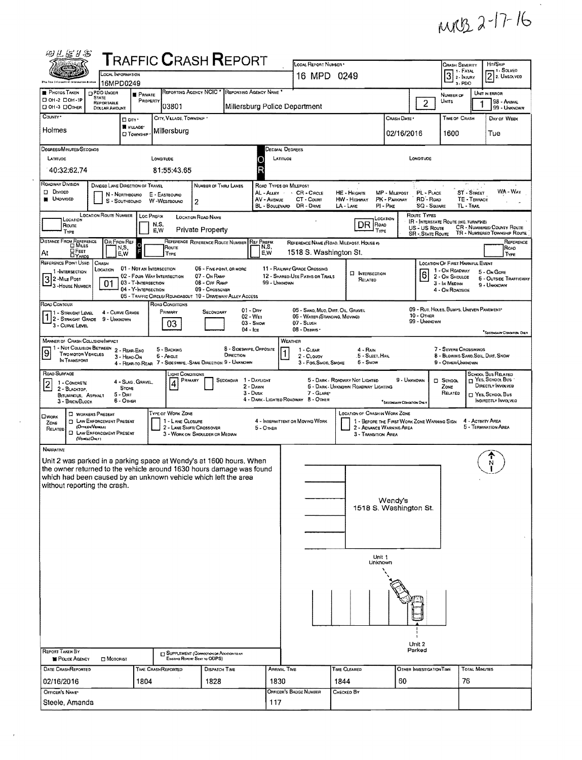MRB 2-17-16

| 咽儿医日念                                                                                                                                       | <b>TRAFFIC CRASH REPORT</b>                                                      |                                               | LOCAL REPORT NUMBER                                                |                                                                                |                                          |                                                       | Hrt/SkiP                                                   |  |  |  |  |
|---------------------------------------------------------------------------------------------------------------------------------------------|----------------------------------------------------------------------------------|-----------------------------------------------|--------------------------------------------------------------------|--------------------------------------------------------------------------------|------------------------------------------|-------------------------------------------------------|------------------------------------------------------------|--|--|--|--|
| LOCAL INFORMATION                                                                                                                           |                                                                                  |                                               | 16 MPD 0249                                                        |                                                                                |                                          | <b>CRASH SEVERITY</b><br>1 - FATAL<br>3<br>2 - INJURY | – 1 - Solved<br>$[2]$ 2. Unsolved                          |  |  |  |  |
| 16MPD0249<br><b>PHOTOS TAKEN</b><br>PDO UNDER                                                                                               | REPORTING AGENCY NCIC *                                                          | REPORTING AGENCY NAME                         |                                                                    |                                                                                |                                          | 3-PDO                                                 | Unit in error                                              |  |  |  |  |
| <b>STATE</b><br>D OH-2 DOH-1P<br>REPORTABLE<br>⊡ ОН•З ⊡Отнєя<br><b>DOLLAR AMOUNT</b>                                                        | <b>PRIVATE</b><br>PROPERTY<br>03801                                              | Millersburg Police Department                 |                                                                    |                                                                                | $\overline{2}$                           | NUMBER OF<br>Units                                    | 98 - ANMAL<br>99 - UNKNOWN                                 |  |  |  |  |
| COUNTY *<br>$\square$ city $\cdot$                                                                                                          | CITY, VILLAGE, TOWNSHIP                                                          |                                               |                                                                    | Crash Date *                                                                   |                                          | TIME OF CRASH                                         | DAY OF WEEK                                                |  |  |  |  |
| <b>W</b> VILLAGE*<br>Holmes<br><b>CI</b> TOWNSHIP                                                                                           | Millersburg                                                                      |                                               |                                                                    | 02/16/2016                                                                     |                                          | 1600                                                  | Tue                                                        |  |  |  |  |
| DEGREES/MINUTES/SECONDS                                                                                                                     |                                                                                  |                                               | Decimal Degrees                                                    |                                                                                |                                          |                                                       |                                                            |  |  |  |  |
| LATITUDE                                                                                                                                    | Longitude                                                                        | Ο                                             | LATITUOE                                                           |                                                                                | LONGITUDE                                |                                                       |                                                            |  |  |  |  |
| 40:32:62.74                                                                                                                                 | 81:55:43.65                                                                      | R                                             |                                                                    |                                                                                |                                          |                                                       |                                                            |  |  |  |  |
| ROADWAY DIVISION<br>DIVIDEO LANE DIRECTION OF TRAVEL<br>D DIVIDED<br>N - NORTHBOUND                                                         | E - EASTBOUNO                                                                    | NUMBER OF THRU LANES                          | ROAD TYPES OR MILEPOST<br>AL - ALLEY CR - CIRCLE                   | <b>HE - HEIGHTS</b><br>MP - MILEPOST                                           | PL - PLACE                               |                                                       | WA - Way<br>ST - STREET                                    |  |  |  |  |
| <b>UNOIVIDED</b><br>S - SOUTHBOUND                                                                                                          | W-WESTBOUND<br>$\mathbf{2}$                                                      | AV - AVENUE                                   | CT - Count<br>BL - BOULEVARD DR - DRIVE                            | PK - PARKWAY<br>HW - Highway<br>LA - Lane<br>PI - Pace                         | RD - Roap<br><b>SQ - SQUARE</b>          | TL-TRAIL                                              | TE - TERRACE                                               |  |  |  |  |
| <b>LOCATION ROUTE NUMBER</b><br>LOCATION<br>Route                                                                                           | Loc PREFIX<br>LOCATION ROAD NAME<br>N,S,                                         |                                               |                                                                    | LOCATION<br>DR<br>ROAD                                                         | ROUTE TYPES                              | IR - INTERSTATE ROUTE (INC. TURNPACE)                 |                                                            |  |  |  |  |
| TYPE                                                                                                                                        | <b>Private Property</b><br>E.W                                                   |                                               |                                                                    | Type                                                                           | US - US Roure<br><b>SR</b> - STATE ROUTE |                                                       | CR - NUMBERED COUNTY ROUTE<br>TR - NUMBERED TOWNSHIP ROUTE |  |  |  |  |
| DISTANCE FROM REFERENCE<br>Dir From Ref<br>N,S,<br>□ Ғеет<br>At<br>E.W                                                                      | REFERENCE REFERENCE ROUTE NUMBER<br>$\frac{0}{F}$<br>ROUTE<br>TYPE               | <b>REF PREFIX</b><br>N,S,<br>E,W              | REFERENCE NAME (ROAD, MILEPOST, HOUSE 4)<br>1518 S. Washington St. |                                                                                |                                          |                                                       | REFERENCE<br>Road<br>TYPE                                  |  |  |  |  |
| <b>DYARDS</b><br>REFERENCE POINT USED<br>CRASH<br>Location                                                                                  | 01 - NOT AN INTERSECTION                                                         | 06 - FIVE POINT, OR MORE                      | 11 - RAILWAY GRADE CROSSING                                        |                                                                                |                                          | LOCATION OF FIRST HARMFUL EVENT                       |                                                            |  |  |  |  |
| 1-INTERSECTION<br>32-Mile Post<br>01                                                                                                        | 02 - FOUR-WAY INTERSECTION<br>03 - T-Intersection                                | 07 - On RAMP<br>08 - Off RAMP<br>99 - UNKNOWN | 12 - SHARED-USE PATHS OR TRALS                                     | <b>CI</b> INTERSECTION<br>RELATED                                              | 6                                        | 1 - On ROADWAY<br>2 - ON SHOULDE<br>3 - In MEDIAN     | 5 - On Gore<br><b>6 - OUTSIDE TRAFFICWAY</b>               |  |  |  |  |
| - 3 - House NUMBER                                                                                                                          | 04 - Y-INTERSECTION<br>05 - TRAFFIC CIRCLE/ROUNDABOUT 10 - DRIVEWAY/ALLEY ACCESS | 09 - CROSSOVER                                |                                                                    |                                                                                |                                          | 4 - On ROADSIDE                                       | 9 - UNKNOWN                                                |  |  |  |  |
| Road Contour<br>4 - CURVE GRADE<br>1 - STRAIGHT LEVEL                                                                                       | ROAD CONDITIONS<br>Рямаят                                                        | $01 - \text{Dry}$<br>SECONDARY                | 05 - SANO, MUO, DIRT, OIL, GRAVEL                                  |                                                                                |                                          | 09 - RUT. HOLES, BUMPS, UNEVEN PAVEMENT*              |                                                            |  |  |  |  |
| 12 - Straight Grade<br>9 - Unknown<br>3 - CURVE LEVEL                                                                                       | 03                                                                               | 02 - WET<br>$03 -$ SNOW                       | 06 - WATER (STANDING, MOVING)<br>$07 -$ SLUSH                      |                                                                                | 10 - Отнев<br>99 - Unknown               |                                                       |                                                            |  |  |  |  |
| <b>MANNER OF CRASH COLLISION/IMPACT</b>                                                                                                     |                                                                                  | 04 - Ice                                      | 08 - DEBRIS<br>WEATHER                                             |                                                                                |                                          |                                                       | <sup>*</sup> SECOHDARY CONDITION ORLY                      |  |  |  |  |
| 1 - Not Collision Between<br>2 - REAR-ENO<br>$\boldsymbol{9}$<br><b>TWO MOTOR VEHICLES</b>                                                  | 5 - BACKING<br>6 - Angle                                                         | 8 - SIDESWIPE, OPPOSITE<br>DIRECTION          | $1 - CLEAR$<br>2 - CLOUDY                                          | 4 - RAIN<br>5 - Sleet, Hail                                                    |                                          | 7 - SEVERE CROSSWINDS                                 | 8 - BLOWING SAND, SOIL, DIRT, SNOW                         |  |  |  |  |
| 3 - HEAO-ON<br>IN TRANSPORT                                                                                                                 | 4 - REAR-TO-REAR 7 - SIDESWIPE, SAME DIRECTION 9 - UNKNOWN                       |                                               | 3 - Fog, Smog, Smoke                                               | 6 - SNOW                                                                       |                                          | 9 - OTHER/UNKNOWN                                     |                                                            |  |  |  |  |
| ROAD SURFACE<br>4 - SLAG, GRAVEL,<br>1 - CONCRETE<br>$\overline{\mathbf{c}}$                                                                | _ight Conditions<br>PRIMARY<br>4                                                 | SECONDAR 1 - DAYLIGHT                         |                                                                    | 5 - DARK - ROADWAY NOT LIGHTED                                                 | 9 - UNKNOWN                              | <b>D</b> SCHOOL                                       | SCHOOL BUS RELATED<br>T YES, SCHOOL BUS                    |  |  |  |  |
| <b>STONE</b><br>2 - BLACKTOP,<br>$5 -$ Dirt<br>BITUMINOUS, ASPHALT                                                                          |                                                                                  | 2 - Dawn<br>$3 -$ Dusk                        | 7 - GLARE*<br>4 - DARK - LIGHTED ROADWAY 8 - OTHER                 | 6 - DARK - UNKNOWN ROADWAY LIGHTING                                            |                                          | ZONE<br>RELATED                                       | DIRECTLY INVOLVED<br>YES, SCHOOL BUS                       |  |  |  |  |
| 6 - Отнея<br>3 - BRICK/BLOCK<br><b>D</b> WORKERS PRESENT                                                                                    | TYPE OF WORK ZONE                                                                |                                               |                                                                    | <sup>*</sup> SECONDARY CONDITION ONLY<br><b>LOCATION OF CRASH IN WORK ZONE</b> |                                          |                                                       | INDIRECTLY INVOLVED                                        |  |  |  |  |
| <b>UWORK</b><br><b>D</b> LAW ENFORCEMENT PRESENT<br>ZONE<br>(OFFICER/VEHICLE)                                                               | 1 - LANE CLOSURE<br>2 - LANE SHIFT/ CROSSOVER                                    | 5 - Other                                     | 4 - INTERMITTENT OR MOVING WORK                                    | 1 - BEFORE THE FIRST WORK ZONE WARNING SIGN<br>2 - ADVANCE WARNING AREA        |                                          |                                                       | 4 - ACTIVITY AREA<br>5 - TERMINATION AREA                  |  |  |  |  |
| RELATED<br>D LAW ENFORCEMENT PRESENT<br>(VEICLEOIAY)                                                                                        | 3 - WORK ON SHOULDER OR MEDIAN                                                   |                                               |                                                                    | 3 - Transition Area                                                            |                                          |                                                       |                                                            |  |  |  |  |
| NARRATIVE                                                                                                                                   |                                                                                  |                                               |                                                                    |                                                                                |                                          |                                                       |                                                            |  |  |  |  |
| Unit 2 was parked in a parking space at Wendy's at 1600 hours, When<br>the owner returned to the vehicle around 1630 hours damage was found |                                                                                  |                                               |                                                                    |                                                                                |                                          |                                                       |                                                            |  |  |  |  |
| which had been caused by an unknown vehicle which left the area<br>without reporting the crash.                                             |                                                                                  |                                               |                                                                    |                                                                                |                                          |                                                       |                                                            |  |  |  |  |
|                                                                                                                                             |                                                                                  |                                               |                                                                    |                                                                                |                                          |                                                       |                                                            |  |  |  |  |
|                                                                                                                                             |                                                                                  |                                               | Wendy's<br>1518 S. Washington St.                                  |                                                                                |                                          |                                                       |                                                            |  |  |  |  |
|                                                                                                                                             |                                                                                  |                                               |                                                                    |                                                                                |                                          |                                                       |                                                            |  |  |  |  |
|                                                                                                                                             |                                                                                  |                                               |                                                                    |                                                                                |                                          |                                                       |                                                            |  |  |  |  |
|                                                                                                                                             |                                                                                  |                                               |                                                                    |                                                                                |                                          |                                                       |                                                            |  |  |  |  |
|                                                                                                                                             |                                                                                  |                                               |                                                                    | Unit 1<br>Unknown                                                              |                                          |                                                       |                                                            |  |  |  |  |
|                                                                                                                                             |                                                                                  |                                               |                                                                    |                                                                                |                                          |                                                       |                                                            |  |  |  |  |
|                                                                                                                                             |                                                                                  |                                               |                                                                    |                                                                                |                                          |                                                       |                                                            |  |  |  |  |
|                                                                                                                                             |                                                                                  |                                               |                                                                    |                                                                                |                                          |                                                       |                                                            |  |  |  |  |
|                                                                                                                                             |                                                                                  |                                               |                                                                    |                                                                                |                                          |                                                       |                                                            |  |  |  |  |
|                                                                                                                                             |                                                                                  |                                               |                                                                    |                                                                                |                                          |                                                       |                                                            |  |  |  |  |
| REPORT TAKEN BY                                                                                                                             | SUPPLEMENT (CORRECTION OF ADDITION TO AN                                         |                                               |                                                                    |                                                                                | Unit 2<br>Parked                         |                                                       |                                                            |  |  |  |  |
| POLICE AGENCY<br><b>D</b> Motorist<br>DATE CRASHREPORTED                                                                                    | Existing REPORT SENT TO ODPS)<br>TIME CRASHREPORTED                              | <b>DISPATCH TIME</b>                          | <b>ARRIVAL TIME</b>                                                | TIME CLEARED                                                                   | OTHER INVESTIGATION TIME                 |                                                       | <b>TOTAL MINUTES</b>                                       |  |  |  |  |
|                                                                                                                                             |                                                                                  |                                               |                                                                    |                                                                                |                                          |                                                       |                                                            |  |  |  |  |
|                                                                                                                                             |                                                                                  | 1830                                          | 1844                                                               | 60                                                                             |                                          | 76                                                    |                                                            |  |  |  |  |
| 02/16/2016<br>OFFICER'S NAME                                                                                                                | 1804                                                                             | 1828                                          | OFFICER'S BADGE NUMBER                                             | Снескер Вү                                                                     |                                          |                                                       |                                                            |  |  |  |  |

 $\mathcal{L}(\mathcal{A})$  and  $\mathcal{L}(\mathcal{A})$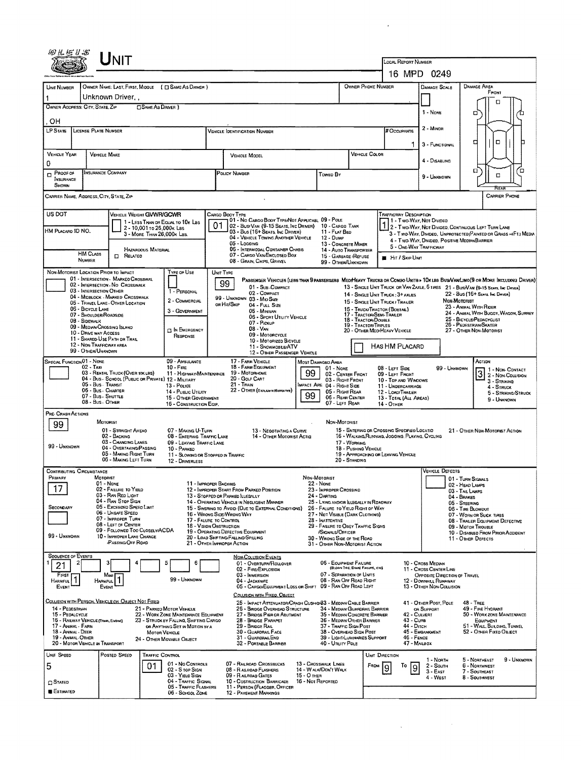|                                                           |                                                                          |                                                                   |                                         |                                                                                                                                     |                                                                       | LOCAL REPORT NUMBER                                                                          |                                                                    |                                                                                                |                                                                                                                           |                                                             |                                                 |                                         |  |  |  |
|-----------------------------------------------------------|--------------------------------------------------------------------------|-------------------------------------------------------------------|-----------------------------------------|-------------------------------------------------------------------------------------------------------------------------------------|-----------------------------------------------------------------------|----------------------------------------------------------------------------------------------|--------------------------------------------------------------------|------------------------------------------------------------------------------------------------|---------------------------------------------------------------------------------------------------------------------------|-------------------------------------------------------------|-------------------------------------------------|-----------------------------------------|--|--|--|
|                                                           |                                                                          |                                                                   |                                         |                                                                                                                                     |                                                                       |                                                                                              |                                                                    |                                                                                                | 16 MPD 0249                                                                                                               |                                                             |                                                 |                                         |  |  |  |
| UNIT NUMBER                                               | OWNER NAME: LAST, FIRST, MIDDLE ( C) SAME AS DRIVER )                    |                                                                   |                                         |                                                                                                                                     |                                                                       |                                                                                              | OWNER PHONE NUMBER                                                 |                                                                                                | <b>DAMAGE SCALE</b>                                                                                                       | Damage Area                                                 | FRONT                                           |                                         |  |  |  |
| OWNER ADDRESS: CITY, STATE, ZIP                           | Unknown Driver,<br><b>CISAME As DANER 1</b>                              |                                                                   |                                         |                                                                                                                                     |                                                                       |                                                                                              |                                                                    |                                                                                                |                                                                                                                           |                                                             |                                                 |                                         |  |  |  |
|                                                           |                                                                          |                                                                   |                                         |                                                                                                                                     |                                                                       |                                                                                              |                                                                    |                                                                                                | 1 - None<br>о                                                                                                             |                                                             |                                                 |                                         |  |  |  |
| OН<br>LP STATE<br><b>LICENSE PLATE NUMBER</b>             |                                                                          |                                                                   |                                         | <b>VEHICLE IDENTIFICATION NUMBER</b>                                                                                                |                                                                       |                                                                                              |                                                                    | # Occupants                                                                                    | 2 - Minor                                                                                                                 |                                                             |                                                 |                                         |  |  |  |
|                                                           |                                                                          |                                                                   |                                         |                                                                                                                                     |                                                                       |                                                                                              |                                                                    | 1.                                                                                             | 3 - FUNCTIONAL                                                                                                            | ▫                                                           | $\Box$                                          |                                         |  |  |  |
| VEHICLE YEAR                                              | <b>VEHICLE MAKE</b>                                                      |                                                                   |                                         | VEHICLE MODEL                                                                                                                       |                                                                       |                                                                                              | VEHICLE COLOR                                                      |                                                                                                |                                                                                                                           |                                                             |                                                 |                                         |  |  |  |
| 0                                                         |                                                                          |                                                                   |                                         |                                                                                                                                     |                                                                       |                                                                                              |                                                                    |                                                                                                | 4 - DISABLING                                                                                                             |                                                             | o                                               |                                         |  |  |  |
| $P$ ROOF OF<br><b>INSURANCE</b>                           | <b>INSURANCE COMPANY</b>                                                 |                                                                   |                                         | POLICY NUMBER<br>Toweo By                                                                                                           |                                                                       |                                                                                              |                                                                    |                                                                                                |                                                                                                                           | σ                                                           | $\Box$                                          |                                         |  |  |  |
| SHOWN<br>CARRIER NAME, ADDRESS, CITY, STATE, ZIP          |                                                                          |                                                                   |                                         |                                                                                                                                     |                                                                       |                                                                                              |                                                                    |                                                                                                |                                                                                                                           |                                                             | <b>CARRIER PHONE</b>                            |                                         |  |  |  |
|                                                           |                                                                          |                                                                   |                                         |                                                                                                                                     |                                                                       |                                                                                              |                                                                    |                                                                                                |                                                                                                                           |                                                             |                                                 |                                         |  |  |  |
| US DOT                                                    | VEHICLE WEIGHT GVWR/GCWR<br>1 - LESS THAN OR EQUAL TO 10K LBS            |                                                                   |                                         | CARGO BOOY TYPE<br>01 - No Cargo Booy Type/Not Applicabl. 09 - Pole                                                                 |                                                                       |                                                                                              |                                                                    | TRAFFICWAY DESCRIPTION<br>1 - Two-Way, Not Divideo                                             |                                                                                                                           |                                                             |                                                 |                                         |  |  |  |
| HM PLACARD ID NO.                                         | 2 - 10,001 to 26,000k Las<br>3 - MORE THAN 26.000K LBS.                  |                                                                   |                                         | 02 - Busi Van (9-15 Seats, Inc Driver)<br>03 - Bus (16+ Seats, Inc Driver)                                                          | 10 - CARGO TANK<br>11 - FLAT BED                                      |                                                                                              |                                                                    |                                                                                                | 1 2 - TWO-WAY, NOT DIVIDED, CONTINUOUS LEFT TURN LANE<br>3 - Two WAY, DIVIDEO, UNPROTECTED (PAINTED OR GRASS >4FT.) MEDIA |                                                             |                                                 |                                         |  |  |  |
|                                                           |                                                                          |                                                                   |                                         | 04 - VEHICLE TOWING ANOTHER VEHICLE<br>05 - Logging                                                                                 | 12 - DUMP                                                             | 13 - CONCRETE MIXER                                                                          |                                                                    | 5 - ONE-WAY TRAFFICWAY                                                                         | 4 - Two-Way, Divideo, Positive Median Barrier                                                                             |                                                             |                                                 |                                         |  |  |  |
| <b>HM CLASS</b><br>NUMBER                                 | HAZAROOUS MATERIAL<br><b>D</b> RELATED                                   |                                                                   |                                         | 05 - INTERMODAL CONTAINER CHASIS<br>07 - CARGO VAN ENCLOSED BOX<br>08 - Grain, Chips, Gravel                                        |                                                                       | 14 - Auto Transporter<br>15 - GARBAGE /REFUSE                                                |                                                                    | <b>HIT / SKIP UNIT</b>                                                                         |                                                                                                                           |                                                             |                                                 |                                         |  |  |  |
| NON-MOTORIST LOCATION PRIOR TO IMPACT                     |                                                                          | TYPE OF USE                                                       | UNIT TYPE                               |                                                                                                                                     |                                                                       | 99 - OTHER/UNKNOWN                                                                           |                                                                    |                                                                                                |                                                                                                                           |                                                             |                                                 |                                         |  |  |  |
|                                                           | 01 - INTERSECTION - MARKEO CROSSWAL<br>02 - INTERSECTION - NO CROSSWALK  |                                                                   |                                         | PASSENGER VEHICLES (LESS THAN 9 PASSENGERS MEDIMEAVY TRUCKS OR COMBO UNITS > 10K LBS BUS/VAN/LIMO(9 OR MORE INCLUDING DRIVER)<br>99 |                                                                       |                                                                                              |                                                                    |                                                                                                |                                                                                                                           |                                                             |                                                 |                                         |  |  |  |
| 03 - INTERSECTION OTHER                                   | 04 - MIDBLOCK - MARKED CROSSWALK                                         | 1 - PERSONAL                                                      |                                         | 01 - Sub COMPACT<br>02 - COMPACT<br>99 - UNKNOWN 03 - MIO SIZE                                                                      |                                                                       |                                                                                              |                                                                    | 14 - SINGLE UNIT TRUCK: 3+ AXLES                                                               | 13 - SINGLE UNIT TRUCK OR VAN 2AXLE, 6 TRES 21 - BUS/VAN (9-15 SEATS, INC DRIVER)                                         | 22 - Bus (16+ Sears, Inc Daver)                             |                                                 |                                         |  |  |  |
| 06 - BICYCLE LANE                                         | 05 - TRAVEL LANE - OTHER LOCATION                                        | 2 - COMMERCIAL<br>3 - GOVERNMENT                                  |                                         | OR HIT/SKIP<br>04 - Full Size<br>05 - MINIVAN                                                                                       |                                                                       |                                                                                              |                                                                    | 15 - SINGLE UNIT TRUCK / TRAILER<br>16 - TRUCK/TRACTOR (BOBTAL)                                |                                                                                                                           | <b><i><u>Мон-Мотогият</u></i></b><br>23 - ANIMAL WITH RIDER |                                                 |                                         |  |  |  |
| 07 - Shoulder/Roadside<br>08 - Sidewalk                   |                                                                          |                                                                   |                                         | 06 - Sport Utility Vehicle<br>07 - Pickup                                                                                           | 17 - TRACTOR/SEMI-TRALER<br>18 - Tractor/Double                       |                                                                                              | 24 - ANIMAL WITH BUGGY, WAGON, SURREY<br>25 - BICYCLE/PEDACYCLIST  |                                                                                                |                                                                                                                           |                                                             |                                                 |                                         |  |  |  |
| 09 - Median/Crossing Island<br>10 - DRIVE WAY ACCESS      |                                                                          | <b>CI IN EMERGENCY</b><br>RESPONSE                                |                                         | $08 - V_{AN}$<br>09 - MOTORCYCLE                                                                                                    | 19 - TRACTOR/TRIPLES<br>20 - OTHER MEO/HEAVY VEHICLE                  |                                                                                              |                                                                    |                                                                                                | 25 - PEDESTRIAN/SKATER<br>27 - OTHER NON-MOTORIST                                                                         |                                                             |                                                 |                                         |  |  |  |
| 12 - NON-TRAFFICWAY AREA                                  | 11 - SHARED-USE PATH OR TRAIL                                            |                                                                   |                                         | 10 - Motorizeo Bicycle<br>11 - SNOWMOBLE/ATV                                                                                        |                                                                       |                                                                                              |                                                                    | HAS HM PLACARD                                                                                 |                                                                                                                           |                                                             |                                                 |                                         |  |  |  |
| 99 - OTHER/UNKNOWN<br>SPECIAL FUNCTION 01 - NONE          |                                                                          | 09 - AMBULANCE                                                    |                                         | 12 - OTHER PASSENGER VEHICLE<br>17 - FARM VEHICLE                                                                                   | <b>MOST DAMAGED AREA</b>                                              |                                                                                              |                                                                    |                                                                                                |                                                                                                                           |                                                             |                                                 |                                         |  |  |  |
| $02 - TAN$                                                | 03 - RENTAL TRUCK (OVER 10KLBS)                                          | $10 -$ Fine<br>11 - HIGHWAY/MAINTENANCE                           |                                         | 18 - FARM EQUIPMENT<br>19 - Мотовноме                                                                                               | 01 - None<br>99                                                       | 02 - CENTER FRONT                                                                            |                                                                    | 08 - LEFT SIDE<br>09 - LEFT FRONT                                                              | 99 - UNKNOWN                                                                                                              |                                                             |                                                 | $31$ - Now-Contact<br>$2$ - Non-Contact |  |  |  |
| 05 - Bus Transit                                          | 04 - Bus - School (Public or Private) 12 - Military                      | 13 - POLICE                                                       |                                         | 20 - GOLF CART<br>$21 -$ Train                                                                                                      |                                                                       | 03 - RIGHT FRONT<br>10 - TOP AND WINDOWS<br>IMPACT ARE 04 - RIGHT SIDE<br>11 - UNDERCARRIAGE |                                                                    |                                                                                                |                                                                                                                           | 3 - Striking                                                |                                                 |                                         |  |  |  |
|                                                           | 06 - Bus - Charter<br>07 - Bus - SHUTTLE                                 | 14 - Pustic UTIUTY<br>15 - OTHER GOVERNMENT                       |                                         | 22 - OTHER (EXPLANON NAPPLATIVE)<br>99                                                                                              | 05 - Right Rear<br>06 - REAR CENTER                                   |                                                                                              | 12 - LOAD/TRALER<br>13 - TOTAL (ALL AREAS)                         |                                                                                                |                                                                                                                           | 4 - STRUCK<br>5 - STRIKING/STRUCK<br>9 - Unknown            |                                                 |                                         |  |  |  |
| 08 - Bus. OTHER                                           |                                                                          | 16 - CONSTRUCTION EQIP.                                           |                                         |                                                                                                                                     |                                                                       | 07 - LEFT REAR                                                                               |                                                                    | 14 - Отнев                                                                                     |                                                                                                                           |                                                             |                                                 |                                         |  |  |  |
| PRE-CRASH ACTIONS<br>99                                   | Moronist                                                                 |                                                                   |                                         |                                                                                                                                     |                                                                       | NON-MOTORIST                                                                                 |                                                                    |                                                                                                |                                                                                                                           |                                                             |                                                 |                                         |  |  |  |
|                                                           | 01 - STRAIGHT AHEAO<br>02 - BACKING                                      | 07 - MAKING U-TURN<br>08 - ENTERING TRAFFIC LANE                  |                                         | 13 - NEGOTIATING A CURVE<br>14 - OTHER MOTORIST ACTIG                                                                               |                                                                       |                                                                                              |                                                                    | 15 - ENTERING OR CROSSING SPECIFIED LOCATIO<br>16 - WALKING RUNNING, JOGGING, PLAYING, CYCLING |                                                                                                                           | 21 - OTHER NDN-MOTORIST ACTION                              |                                                 |                                         |  |  |  |
| 99 - UNKNOWN                                              | 03 - CHANGING LANES<br>04 - OVERTAKING/PASSING                           | 09 - LEAVING TRAFFIC LANE<br>10 - PARKED                          |                                         |                                                                                                                                     |                                                                       | 17 - WORKING<br>18 - PUSHING VEHICLE                                                         |                                                                    |                                                                                                |                                                                                                                           |                                                             |                                                 |                                         |  |  |  |
|                                                           | 05 - MAKING RIGHT TURN<br>06 - MAKING LEFT TURN                          | 11 - Slowing or Stopped in Traffic<br>12 - DRNERLESS              |                                         |                                                                                                                                     |                                                                       | 20 - Standing                                                                                |                                                                    | 19 - APPROACHING OR LEAVING VEHICLE                                                            |                                                                                                                           |                                                             |                                                 |                                         |  |  |  |
| CONTRIBUTING CIRCUMSTANCE                                 |                                                                          |                                                                   |                                         |                                                                                                                                     |                                                                       |                                                                                              |                                                                    |                                                                                                | VEHICLE DEFECTS                                                                                                           |                                                             |                                                 |                                         |  |  |  |
| Primary<br>17                                             | MOTORIST<br>$01 - None$<br>02 - FAILURE TO YIELD                         | 11 - IMPROPER BACKING                                             |                                         | 12 - IMPROPER START FROM PARKED POSITION                                                                                            | NON-MOTORIST<br>22 - NONE<br>23 - IMPROPER CROSSING                   |                                                                                              |                                                                    |                                                                                                |                                                                                                                           | 01 - TURN SIGNALS<br>02 - HEAD LAMPS                        |                                                 |                                         |  |  |  |
|                                                           | 03 - RAN RED LIGHT<br>04 - RAN STOP SIGN                                 |                                                                   |                                         | 13 - STOPPED OR PARKED ILLEGALLY<br>24 - DARTING<br>14 - Operating Vehicle in Negligent Manner                                      | 25 - LYING ANDIOR ILLEGALLY IN ROADWAY                                |                                                                                              |                                                                    | 03 - TAIL LAMPS<br>04 - BRAKES                                                                 |                                                                                                                           |                                                             |                                                 |                                         |  |  |  |
| Secondary                                                 | 05 - Exceeded Speed Limit<br>06 - UNSAFE SPEED                           |                                                                   |                                         | 15 - Swering to Avoid (Due to External Conditions)<br>16 - WRONG SIDE/WRONG WAY                                                     | 26 - FALURE TO YIELD RIGHT OF WAY<br>27 - NOT VISIBLE (DARK CLOTHING) |                                                                                              |                                                                    | 05 - STEERING<br><b>06 - TIRE BLOWOUT</b>                                                      |                                                                                                                           |                                                             |                                                 |                                         |  |  |  |
|                                                           | 07 - IMPROPER TURN<br>08 - LEFT OF CENTER                                | 17 - FALURE TO CONTROL<br><b>18 - VISION OBSTRUCTION</b>          |                                         | 28 - INATTENTIVE                                                                                                                    | 29 - FAILURE TO OBEY TRAFFIC STONS                                    |                                                                                              |                                                                    | 07 - WORN OR SLICK TIRES<br>08 TRALER EQUIPMENT DEFECTIVE<br>09 - MOTOR TROUBLE                |                                                                                                                           |                                                             |                                                 |                                         |  |  |  |
| 99 - Unknown                                              | 09 - FOLLOWED TOO CLOSELY/ACDA<br>10 - IMPROPER LANE CHANGE              |                                                                   |                                         | 19 - OPERATING DEFECTIVE EQUIPMENT<br>20 - LOAD SHIFTING/FALLING/SPILLING                                                           | 30 - WRONG SIDE OF THE ROAD                                           |                                                                                              | 11 - OTHER DEFECTS                                                 | 10 - DISABLED FROM PRIOR ACCIDENT                                                              |                                                                                                                           |                                                             |                                                 |                                         |  |  |  |
|                                                           | <b>PASSING OFF ROAD</b>                                                  |                                                                   |                                         | 21 - OTHER IMPROPER ACTION                                                                                                          | 31 - OTHER NON-MOTORIST ACTION                                        |                                                                                              |                                                                    |                                                                                                |                                                                                                                           |                                                             |                                                 |                                         |  |  |  |
| <b>SEQUENCE OF EVENTS</b><br>21                           |                                                                          | 5<br>6                                                            |                                         | <b>NON-COLLISION EVENTS</b><br>01 - Overturn/Rollover                                                                               |                                                                       | 06 - EOUPMENT FAILURE                                                                        |                                                                    |                                                                                                | 10 - Cross Median                                                                                                         |                                                             |                                                 |                                         |  |  |  |
| FIRST                                                     | Masi                                                                     |                                                                   |                                         | 02 - FIRE/EXPLOSION<br>03 - IMMERSION                                                                                               |                                                                       | (BLOWN TIRE, BRAKE FAILURE, ETC)<br>07 - SEPARATION OF UNITS                                 |                                                                    |                                                                                                | 11 - Cross CENTER LINE<br>OPPOSITE DIRECTION OF TRAVEL                                                                    |                                                             |                                                 |                                         |  |  |  |
| HARMFUL <sup>1</sup><br>EVENT                             | Harmful  <br>EVENT                                                       | 99 - UNKNOWN                                                      |                                         | 04 - JACKKNIFE<br>05 - CARGO/EQUIPMENT LOSS OR SHIFT 09 - RAN OFF ROAD LEFT                                                         |                                                                       | 08 - RAN OFF ROAD RIGHT                                                                      |                                                                    |                                                                                                | 12 - DOWNHILL RUNAWAY<br>13 - OTHER NON-COLLISION                                                                         |                                                             |                                                 |                                         |  |  |  |
| COLLISION WITH PERSON, VEHICLE OR OBJECT NOT FIXED        |                                                                          |                                                                   |                                         | COLUSION WITH FIXED, OBJECT<br>25 - IMPACT ATTENUATOR/CRASH CUSHIO/83 - MEDIAN CABLE BARRIER                                        |                                                                       |                                                                                              |                                                                    |                                                                                                | 41 - OTHER POST, POLE                                                                                                     | 48 - Тяєє                                                   |                                                 |                                         |  |  |  |
| 14 - PEDESTRIAN<br>15 - PEDALCYCLE                        |                                                                          | 21 - PARKED MOTOR VEHICLE<br>22 - WORK ZONE MAINTENANCE EQUIPMENT |                                         | 25 - BRIDGE OVERHEAD STRUCTURE<br>27 - BRIDGE PIER OR ABUTMENT                                                                      |                                                                       |                                                                                              | 34 - MEDIAN GUARDRAIL BARRIER<br>35 - Median Concrete Barrier      | 42 - CULVERT                                                                                   | OR SUPPORT                                                                                                                |                                                             | 49 - FIRE HYDRANT<br>50 - WORK ZONE MAINTERANCE |                                         |  |  |  |
| 15 - RAILWAY VEHICLE (TRAN, ENGINE)<br>17 - Animal - Farm | 23 - STRUCK BY FALLING, SHIFTING CARGO<br>OR ANYTHING SET IN MOTION BY A |                                                                   | 28 - BRIOGE PARAPET<br>29 - BRIDGE RAIL | 36 - Median Other Barrier<br>37 - Traffic Sign Post                                                                                 |                                                                       |                                                                                              | 43 - Cuna<br>EQUIPMENT<br>51 - WALL, BUILDING, TUNNEL<br>44 - Опсн |                                                                                                |                                                                                                                           |                                                             |                                                 |                                         |  |  |  |
| 18 - Animal - DEER<br>19 - ANIMAL-OTHER                   |                                                                          | MOTOR VEHICLE<br>24 - OTHER MOVABLE OBJECT                        |                                         | 30 - GUARDRAIL FACE<br>31 - GUARDRAILEND                                                                                            |                                                                       | 38 - Overhead Sign Post                                                                      | 39 - LIGHT/LUMINARIES SUPPORT                                      | 46 - FENCE                                                                                     | 45 - EMBANKMENT                                                                                                           |                                                             | 52 - Отнев Fixeo Овлест                         |                                         |  |  |  |
| 20 - MOTOR VEHICLE IN TRANSPORT<br>UNIT SPEED             | Posted Speed<br>TRAFFIC CONTROL                                          |                                                                   |                                         | 32 - PORTABLE BARRIER                                                                                                               | 40 - Unury Pole                                                       |                                                                                              | UNIT DIRECTION                                                     | 47 - MALBOX                                                                                    |                                                                                                                           |                                                             |                                                 |                                         |  |  |  |
| 5                                                         | 01                                                                       | 01 - No Contrigue                                                 |                                         | 07 - RAILROAD CROSSBUCKS                                                                                                            | 13 - Crosswalk Lines                                                  |                                                                                              | FROM                                                               | То                                                                                             | 1 - North<br>2 - South                                                                                                    | 5 - NORTHEAST<br>6 - Northwest                              |                                                 | 9 - Unknown                             |  |  |  |
|                                                           |                                                                          | 02 - S rop Sign<br>03 - YIELD SIGN                                |                                         | 08 - RAILROAD FLASHERS<br>09 - R ALBOAD GATES                                                                                       | 14 - W ALK/DON'T WALK<br>15 - О тнев                                  |                                                                                              |                                                                    | 19<br>9                                                                                        | $3 - E$ AST<br>4 - West                                                                                                   | 7 - Southeast<br>8 - Southwest                              |                                                 |                                         |  |  |  |
| $\Box$ Staten<br><b>E</b> ESTIMATED                       |                                                                          | 04 - Traffic Signal<br>05 - TRAFFIC FLASHERS<br>06 - SCHOOL ZONE  |                                         | 10 - COSTRUCTION BARRICADE<br>11 - PERSON (FLAGGER, OFFICER<br><b>12 - PAVEMENT MARKINGS</b>                                        | 16 - Not Reported                                                     |                                                                                              |                                                                    |                                                                                                |                                                                                                                           |                                                             |                                                 |                                         |  |  |  |
|                                                           |                                                                          |                                                                   |                                         |                                                                                                                                     |                                                                       |                                                                                              |                                                                    |                                                                                                |                                                                                                                           |                                                             |                                                 |                                         |  |  |  |

 $\mathcal{L}(\mathcal{L})$  and  $\mathcal{L}(\mathcal{L})$  .

 $\label{eq:2.1} \frac{1}{\sqrt{2}}\int_{\mathbb{R}^3}\frac{1}{\sqrt{2}}\left(\frac{1}{\sqrt{2}}\right)^2\frac{1}{\sqrt{2}}\left(\frac{1}{\sqrt{2}}\right)^2\frac{1}{\sqrt{2}}\left(\frac{1}{\sqrt{2}}\right)^2\frac{1}{\sqrt{2}}\left(\frac{1}{\sqrt{2}}\right)^2.$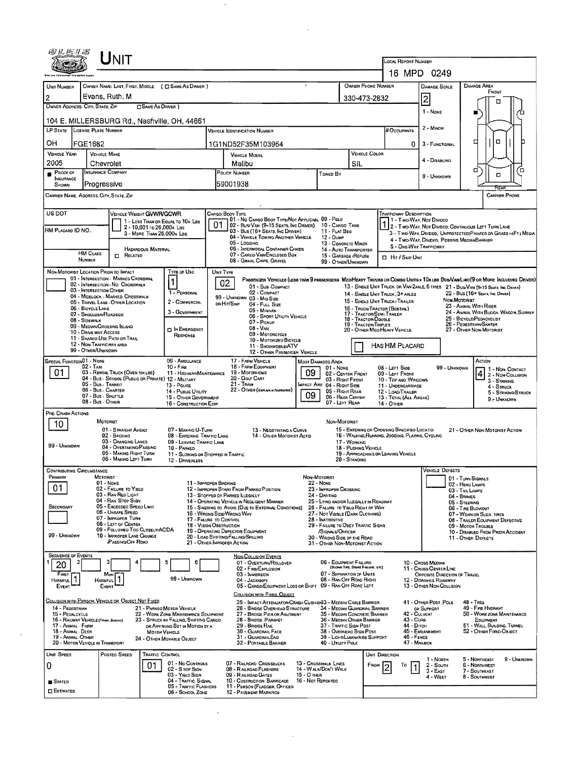| 四丛柯甘西                                    | Unit                                                                                   |                                                                                |                                                                                                              |                                                             |                                                                                 |                                                   |                                                                         |                                                                                                                              |             |  |  |  |  |
|------------------------------------------|----------------------------------------------------------------------------------------|--------------------------------------------------------------------------------|--------------------------------------------------------------------------------------------------------------|-------------------------------------------------------------|---------------------------------------------------------------------------------|---------------------------------------------------|-------------------------------------------------------------------------|------------------------------------------------------------------------------------------------------------------------------|-------------|--|--|--|--|
|                                          |                                                                                        |                                                                                |                                                                                                              |                                                             |                                                                                 |                                                   | LOCAL REPORT NUMBER<br>16 MPD 0249                                      |                                                                                                                              |             |  |  |  |  |
| UNIT NUMBER                              | OWNER NAME: LAST, FIRST, MIDDLE ( C SAME AS DRIVER )                                   |                                                                                |                                                                                                              |                                                             |                                                                                 | OWNER PHONE NUMBER                                | DAMAGE SCALE                                                            | DAMAGE AREA                                                                                                                  |             |  |  |  |  |
| 2                                        | Evans, Ruth, M                                                                         |                                                                                |                                                                                                              |                                                             |                                                                                 | 330-473-2832                                      |                                                                         | FRONT                                                                                                                        |             |  |  |  |  |
| OWNER ADDRESS: CITY, STATE, ZIP          | SAME AS DRIVER )                                                                       |                                                                                |                                                                                                              |                                                             |                                                                                 |                                                   | 2 <br>1 - Nove                                                          | п                                                                                                                            |             |  |  |  |  |
|                                          | 104 E. MILLERSBURG Rd., Nashville, OH, 44661                                           |                                                                                |                                                                                                              |                                                             |                                                                                 |                                                   |                                                                         |                                                                                                                              |             |  |  |  |  |
|                                          | LP STATE LICENSE PLATE NUMBER                                                          |                                                                                | <b>VEHICLE IDENTIFICATION NUMBER</b>                                                                         |                                                             |                                                                                 | # Occupants                                       | 2 - Minon                                                               |                                                                                                                              |             |  |  |  |  |
| OН                                       | FGE1682                                                                                |                                                                                | 1G1ND52F35M103964                                                                                            |                                                             |                                                                                 |                                                   | o<br>3 - FUNCTIONAL                                                     | Ω<br>с                                                                                                                       |             |  |  |  |  |
| VEHICLE YEAR<br>2005                     | <b>VEHICLE MAKE</b>                                                                    |                                                                                | <b>VEHICLE MODEL</b>                                                                                         |                                                             |                                                                                 | <b>VEHICLE COLOR</b>                              | 4 - DISABLING                                                           |                                                                                                                              |             |  |  |  |  |
| PROOF OF                                 | Chevrolet<br><b>INSURANCE COMPANY</b>                                                  |                                                                                | Malibu<br>POLICY NUMBER                                                                                      | Towed By                                                    | SIL.                                                                            |                                                   |                                                                         | o<br>о                                                                                                                       | ם′          |  |  |  |  |
| <b>INSURANCE</b><br>SHOWN                | Progressive                                                                            |                                                                                | 59001938                                                                                                     |                                                             |                                                                                 |                                                   | 9 - UNKNOWN                                                             |                                                                                                                              |             |  |  |  |  |
|                                          | CARRIER NAME, ADDRESS, CITY, STATE, ZIP                                                |                                                                                |                                                                                                              |                                                             |                                                                                 |                                                   |                                                                         | <b>CARRIER PHONE</b>                                                                                                         |             |  |  |  |  |
| US DOT                                   | VEHICLE WEIGHT GVWR/GCWR                                                               |                                                                                | CARGO BODY TYPE                                                                                              |                                                             |                                                                                 | TRAFFICWAY DESCRIPTION                            |                                                                         |                                                                                                                              |             |  |  |  |  |
|                                          | 1 - LESS THAN OR EQUAL TO 10K LBS<br>2 - 10,001 to 26,000 k Las                        |                                                                                | 01 - No Cargo Booy Type/Not Applicabl 09 - Pole<br>01 02 - Busi VAN (9-15 SEATS, INC DRIVER) 10 - CARGO TANK |                                                             |                                                                                 |                                                   |                                                                         | 1 - Two-Way, Not Divideo<br>1 2 - Two-Way, Not Divideo, Continuous Left Turn Lane                                            |             |  |  |  |  |
| HM PLACARD ID NO.                        | 3 - MORE THAN 26,000K LBS.                                                             |                                                                                | 03 - Bus (16+ Seats, Inc Driver)<br>04 - VEHICLE TOWING ANOTHER VEHICLE                                      | 12 - Dume                                                   | 11 - FLAT BEO                                                                   |                                                   |                                                                         | 3 - Two-Way, Divided, Unprotected Painted on Grass >4FT.) Media                                                              |             |  |  |  |  |
|                                          | <b>HAZARDOUS MATERIAL</b><br><b>HM CLASS</b>                                           |                                                                                | 05 - LOGGING<br>06 - INTERMODAL CONTAINER CHASIS                                                             |                                                             | 13 CONCRETE MIXER<br>14 - AUTO TRANSPORTER                                      |                                                   | 4 - Two-Way, Divided, Positive Mequan Barrier<br>5 - ONE-WAY TRAFFICWAY |                                                                                                                              |             |  |  |  |  |
|                                          | <b>CI RELATED</b><br><b>NUMBER</b>                                                     |                                                                                | 07 - CARGO VAN/ENGLOSED BOX<br>08 - GRAN, CHIPS, GRAVEL                                                      |                                                             | 15 - GARBAGE / REFUSE<br>99 - OTHER/UNKNOWN                                     | <b>D</b> Hit / Skip UNIT                          |                                                                         |                                                                                                                              |             |  |  |  |  |
|                                          | NON-MOTORIST LOCATION PRIOR TO IMPACT<br>01 - INTERSECTION - MARKED CROSSWAL           | TYPE OF USE                                                                    | UNIT TYPE                                                                                                    |                                                             |                                                                                 |                                                   |                                                                         | PASSENGER VEHICLES (LESS THAN 9 PASSENGERS MEDIMEAVY TRUCKS OR COMBO UNITS > 10X LBS BUS/VAMLIMO(9 OR MORE INCLUDING DRIVER) |             |  |  |  |  |
|                                          | 02 - INTERSECTION - NO CROSSWALK<br>03 - INTERSECTION OTHER                            | $\vert$ 1<br>1 - PERSONAL                                                      | 02<br>01 - Sub COMPACT<br>02 - COMPACT                                                                       |                                                             |                                                                                 | 14 - SINGLE UNIT TRUCK : 3+ AXLES                 |                                                                         | 13 - SINGLE UNIT TRUCK OR VAN ZAXLE, 6 TRES 21 - BUS/VAN (9-15 SEATE INC DRIVER)<br>22 - BUS (16+ SEATA, INC DAVER)          |             |  |  |  |  |
|                                          | 04 - MIDBLOCK - MARKED CROSSWALK<br>05 - TRAVEL LANE - OTHER LOCATION                  | 2 - COMMERCIAL                                                                 | 99 - UNKNOWN 03 - MID SIZE<br>OR HIT/SKIP<br>04 - Full Size                                                  |                                                             |                                                                                 | 15 - SINGLE UNIT TRUCK / TRAILER                  |                                                                         | Non-Motorist<br>23 - ANIMAL WITH RIDER                                                                                       |             |  |  |  |  |
|                                          | 06 - BICYCLE LANE<br>07 - Shoulder/Roadside                                            | 05 - Minivan<br>06 - SPORT UTILITY VEHICLE                                     |                                                                                                              |                                                             | 16 - TRUCK/TRACTOR (BOBTAIL)<br>17 - TRACTOR/SEMI-TRALER<br>18 - TRACTOR/DOUBLE |                                                   | 24 - ANIMAL WITH BUGGY, WAGON, SURREY<br>25 - BICYCLEIPEDACYCLIST       |                                                                                                                              |             |  |  |  |  |
|                                          | 08 - Sidewalk<br>09 - MEDIAN/CROSSING ISLAND                                           | 07 - Pickup<br>$08 - V_{AN}$                                                   |                                                                                                              |                                                             | 19 - TRACTOR/TRPLES<br>20 - Other MeorHeavy Vehicle                             | 26 - PEDESTRIAN/SKATER<br>27 - OTHER NON-MOTORIST |                                                                         |                                                                                                                              |             |  |  |  |  |
|                                          | 10 - DRIVE WAY ACCESS<br>11 - SHAREO-USE PATH OR TRAIL<br>12 - NON-TRAFFICWAY AREA     | <b>DIN EMERGENCY</b><br>RESPONSE                                               | 09 - MOTORCYCLE<br>10 - MOTORIZED BICYCLE                                                                    |                                                             |                                                                                 |                                                   |                                                                         |                                                                                                                              |             |  |  |  |  |
|                                          | 99 - OTHER/UNKNOWN                                                                     |                                                                                | 11 - SNOWMOBILE/ATV<br>12 - OTHER PASSENGER VEHICLE                                                          |                                                             |                                                                                 | HAS HM PLACARD                                    |                                                                         |                                                                                                                              |             |  |  |  |  |
| SPECIAL FUNCTION 01 - NONE               | $02 - TAXI$                                                                            | 09 - AMBULANCE<br>$10 -$ Fine                                                  | 17 - FARM VEHICLE<br>18 - FARM EQUIPMENT                                                                     | <b>MOST DAMAGEO AREA</b>                                    | $01 - None$                                                                     | 08 - LEFT SIDE                                    | 99 - UNKNOWN                                                            | ACTION<br>1 - Non-Contact                                                                                                    |             |  |  |  |  |
| 01                                       | 03 - RENTAL TRUCK (OVER 10KLBS)<br>04 - Bus - School (Public or Private) 12 - Military | 11 - HIGHWAY/MAINTENANCE                                                       | 19 - Мотояноме<br>20 - GOUF CART                                                                             | 09                                                          | 02 - CENTER FRONT<br>03 - RIGHT FRONT                                           | 09 - LEFT FRONT<br>10 - Top ANG WINGOWS           |                                                                         | $\frac{4}{2}$ - Non-Corrision<br>3 - STRIKING                                                                                |             |  |  |  |  |
|                                          | 05 - Bus - Transit<br>06 - Bus - CHARTER                                               | 13 - Pouce<br>14 - PUBLIC UTILITY                                              | $21 -$ Train<br>22 - OTHER (EXPLAIN IN NARRATIVE)                                                            | MPACT ARE 04 - RIGHT SIDE<br>09                             | 05 - Right Rear                                                                 | 11 - UNDERCARRIAGE<br>12 - LOAD/TRAILER           |                                                                         | 4 - STRUCK<br>5 - STRIKING/STRUCK                                                                                            |             |  |  |  |  |
|                                          | 07 - Bus - SHUTTLE<br>08 - Bus - OTHER                                                 | 15 - OTHER GOVERNMENT<br>16 - CONSTRUCTION EOIP.                               |                                                                                                              |                                                             | 06 - REAR CENTER<br>07 - LEFT REAR                                              | 13 - TOTAL (ALL AREAS)<br>14 - Other              |                                                                         | 9 - UNKNOWN                                                                                                                  |             |  |  |  |  |
| PRE- CRASH ACTIONS                       | MOTORIST                                                                               |                                                                                |                                                                                                              |                                                             | NON-MOTORIST                                                                    |                                                   |                                                                         |                                                                                                                              |             |  |  |  |  |
| 10                                       | 01 - STRAIGHT AHEAD                                                                    | 07 - MAKING U-TURN                                                             | 13 - NEGOTIATING A CURVE                                                                                     |                                                             |                                                                                 | 15 - ENTERING OR CROSSING SPECIFIED LOCATID       |                                                                         | 21 - OTHER NON-MOTORIST ACTION                                                                                               |             |  |  |  |  |
| 99 - UNKNOWN                             | 02 - BACKING<br>03 - CHANGING LANES<br>04 - OVERTAKING/PASSING                         | 08 - ENTERING TRAFFIC LANE<br>09 - LEAVING TRAFFIC LANE                        | 14 - OTHER MOTORIST ACTIO                                                                                    |                                                             | 17 WORKING<br>18 - PUSHING VEHICLE                                              | 16 - WALKING, RUNNING, JOGGING, PLAYING, CYCLING  |                                                                         |                                                                                                                              |             |  |  |  |  |
|                                          | 05 - MAKING RIGHT TURN<br>06 - MAKING LEFT TURN                                        | 10 - PARKED<br>11 - SLOWING OR STOPPED IN TRAFFIC<br>12 - DRIVERLESS           |                                                                                                              |                                                             | 20 - STANOING                                                                   | 19 - APPROACHING OR LEAVING VEHICLE               |                                                                         |                                                                                                                              |             |  |  |  |  |
| <b>CONTRIBUTING CIRCUMSTANCE</b>         |                                                                                        |                                                                                |                                                                                                              |                                                             |                                                                                 |                                                   | <b>VEHICLE DEFECTS</b>                                                  |                                                                                                                              |             |  |  |  |  |
| PRIMARY                                  | MOTORIST<br>$01 - None$                                                                | 11 - IMPROPER BACKING                                                          |                                                                                                              | Non-Motorist<br><b>22 - NONE</b>                            |                                                                                 |                                                   |                                                                         | 01 - TURN SIGNALS<br>02 - HEAD LAMPS                                                                                         |             |  |  |  |  |
| 01                                       | 02 - FAILURE TO YIELD<br>03 - RAN RED LIGHT                                            |                                                                                | 12 - IMPROPER START FROM PARKED POSITION<br>13 - Stoppeo or Parked Llegally                                  | 23 - IMPROPER CROSSING<br>24 - DARTING                      |                                                                                 |                                                   |                                                                         | 03 - TAIL LAMPS<br>04 - BRAKES                                                                                               |             |  |  |  |  |
| SECONDARY                                | 04 - RAN STOP SIGN<br>05 - Exceeded Speed Limit                                        |                                                                                | 14 - OPERATING VEHICLE IN NEGLIGENT MANNER<br>15 - SWERING TO AVOID (DUE TO EXTERNAL CONDITIONS)             | 26 - FALURE TO YIELD RIGHT OF WAY                           | 25 - LYING AND/OR ILLEGALLY IN ROADWAY                                          |                                                   |                                                                         | 05 - STEERING<br>06 - TIRE BLOWOUT                                                                                           |             |  |  |  |  |
|                                          | 06 - UNSAFE SPEED<br>07 - IMPROPER TURN<br>08 - LEFT OF CENTER                         |                                                                                | 16 - Wrong Side/Wrong Way<br>17 - FALURE TO CONTROL                                                          | 28 INATTENTIVE                                              | 27 - NOT VISIBLE (DARK CLOTHING)                                                |                                                   |                                                                         | 07 - WORN OR SLICK TIRES<br>08 - TRAILER EQUIPMENT DEFECTIVE                                                                 |             |  |  |  |  |
| 99 - UNKNOWN                             | 09 - Followed Too CloselwACDA<br>10 - IMPROPER LANE CHANGE                             |                                                                                | 18 - VISION OBSTRUCTION<br>19 - OPERATING DEFECTIVE EQUIPMENT<br>20 - LOAD SHETING/FALLING/SPILLING          |                                                             | 29 - FAILURE TO OBEY TRAFFIC SIGNS<br>/SIGNALS/OFFICER                          |                                                   |                                                                         | 09 - MOTOR TROUBLE<br>10 - DISABLED FROM PRIOR ACCIDENT                                                                      |             |  |  |  |  |
|                                          | PASSING/OFF ROAD                                                                       |                                                                                | 21 - OTHER IMPROPER ACTION                                                                                   |                                                             | 30 - WRONG SIDE OF THE ROAD<br>31 - OTHER NON-MOTORIST ACTION                   |                                                   |                                                                         | 11 - OTHER DEFECTS                                                                                                           |             |  |  |  |  |
| <b>SEQUENCE OF EVENTS</b>                |                                                                                        | 5<br>6                                                                         | <b>NON-COLLISION EVENTS</b><br>01 - OVERTURN/ROLLOVER                                                        |                                                             | 06 - EQUIPMENT FAILURE                                                          |                                                   | 10 - CROSS MEDIAN                                                       |                                                                                                                              |             |  |  |  |  |
| 20<br>FIRST                              | Most                                                                                   |                                                                                | 02 - FIRE/EXPLOSION<br>03 - IMMERSION                                                                        |                                                             | (BLOWN TIRE, BRAKE FARLINE, ETC)<br>07 - SEPARATION OF UNITS                    |                                                   | 11 - Cross Center Line<br>OPPOSITE DIRECTION OF TRAVEL                  |                                                                                                                              |             |  |  |  |  |
| <b>HARMFUL</b><br>EVENT                  | Harmful<br>EVENT                                                                       | 99 - Unknown                                                                   | 04 - JACKNOFE<br>05 - CARGO/EQUIPMENT LOSS OR SHIFT 09 - RAN OFF ROAD LEFT                                   |                                                             | 08 - RAN OFF ROAD RIGHT                                                         |                                                   | 12 - DOWNHILL RUNAWAY<br>13 - OTHER NON-COLLISION                       |                                                                                                                              |             |  |  |  |  |
|                                          |                                                                                        |                                                                                | COLLISION WITH FIXED, OBJECT                                                                                 |                                                             |                                                                                 |                                                   |                                                                         |                                                                                                                              |             |  |  |  |  |
| 14 - PEOESTRIAN                          | COLLISION WITH PERSON, VEHICLE OR OBJECT NOT FIXED                                     | 21 - PARKED MOTOR VEHICLE                                                      | 25 - IMPACT ATTENUATOR/CRASH CUSHION33 - MEDIAN CABLE BARRIER<br>26 - BRIDGE OVERHEAD STRUCTURE              |                                                             | 34 - MEOVAN GUARDRAIL BARRIER                                                   |                                                   | 41 - OTHER POST, POLE<br>OR SUPPORT                                     | 48 - TREE<br>49 - FIRE HYDRANT                                                                                               |             |  |  |  |  |
| 15 - PEDALCYCLE                          | 16 - RAILWAY VEHICLE (TRAIN, ENGINE)                                                   | 22 - WORK ZONE MAINTENANCE EQUIPMENT<br>23 - STRUCK BY FALLING, SHIFTING CARGO | 27 - BRIOGE PIER OR ABUTMENT<br>28 - BRIDGE PARAPET                                                          |                                                             | 35 - Median Concrete Barrier<br>36 - MEORN OTHER BARRIER                        |                                                   | 42 - CULVERT<br>43 - Cuns                                               | 50 - WORK ZONE MAINTENANCE<br>EQUIPMENT                                                                                      |             |  |  |  |  |
| 17 - ANIMAL - FARM<br>18 - Animal - Deer | <b>MOTOR VEHICLE</b>                                                                   | OR ANYTHING SET IN MOTION BY A                                                 | 29 - Bridge Rail<br>30 - GUARDRAIL FACE                                                                      |                                                             | 37 - TRAFFIC SIGN POST<br>38 - Overhead Sign Post                               |                                                   | 44 - Ditch<br>45 - Embankment                                           | 51 - WALL, BULDING, TUNNEL<br>52 - OTHER FIXEO OSJECT                                                                        |             |  |  |  |  |
| 19 - ANIMAL - OTHER                      | 20 - MOTOR VEHICLE IN TRANSPORT                                                        | 24 - Отнев Моуавье Овлест                                                      | 31 - GUARDRAILEND<br>32 - PORTABLE BARRIER                                                                   |                                                             | 39 - LIGHT/LUMINARIES SUPPORT<br>40 - UTILITY POLE                              |                                                   | 46 - FENCE<br>47 - MAILBOX                                              |                                                                                                                              |             |  |  |  |  |
| UNIT SPEED                               | POSTED SPEED<br><b>TRAFFIC CONTROL</b>                                                 |                                                                                |                                                                                                              |                                                             |                                                                                 | UNIT DIRECTION                                    | 1 - North                                                               | 5 - NORTHEAST                                                                                                                | 9 - UNKNOWN |  |  |  |  |
| 0                                        | 01                                                                                     | 01 - No CONTROLS<br>02 - S rop Sign<br>03 - YIELD SIGN                         | 07 - RAILROAD CROSSBUCKS<br>08 - RAILROAD FLASHERS<br>09 - RAILROAD GATES                                    | 13 - CROSSWALK LINES<br>14 - WALN/DON'T WALK<br>15 - О тиєв |                                                                                 | FROM<br>10                                        | 2 - South<br>$3 - E$ AST                                                | 6 - NORTHWEST<br>7 - SOUTHEAST                                                                                               |             |  |  |  |  |
| STATED                                   |                                                                                        | 04 - TRAFFIC SIGNAL<br>05 - TRAFFIC FLASHERS                                   | 10 - Costruction Barricade<br>11 - PERSON (FLAGGER, OFFICER                                                  | 16 - Not Reported                                           |                                                                                 |                                                   | 4 WEST                                                                  | 8 - SOUTHWEST                                                                                                                |             |  |  |  |  |
| ESTIMATED                                |                                                                                        | 06 - School Zone                                                               | 12 - PAVEMENT MARKINGS                                                                                       |                                                             |                                                                                 |                                                   |                                                                         |                                                                                                                              |             |  |  |  |  |

 $\alpha$  ,  $\alpha$  ,  $\alpha$  ,  $\alpha$ 

 $\mathcal{L}^{\text{max}}_{\text{max}}$  and  $\mathcal{L}^{\text{max}}_{\text{max}}$ 

 $\bar{\mathbf{v}}$ 

 $\label{eq:2.1} \frac{1}{\sqrt{2}}\int_{\mathbb{R}^3} \frac{1}{\sqrt{2}}\,d\mu\int_{\mathbb{R}^3} \frac{1}{\sqrt{2}}\,d\mu\int_{\mathbb{R}^3} \frac{1}{\sqrt{2}}\,d\mu\int_{\mathbb{R}^3} \frac{1}{\sqrt{2}}\,d\mu\int_{\mathbb{R}^3} \frac{1}{\sqrt{2}}\,d\mu\int_{\mathbb{R}^3} \frac{1}{\sqrt{2}}\,d\mu\int_{\mathbb{R}^3} \frac{1}{\sqrt{2}}\,d\mu\int_{\mathbb{R}^3}$ 

 $\sim$   $\sigma$  .